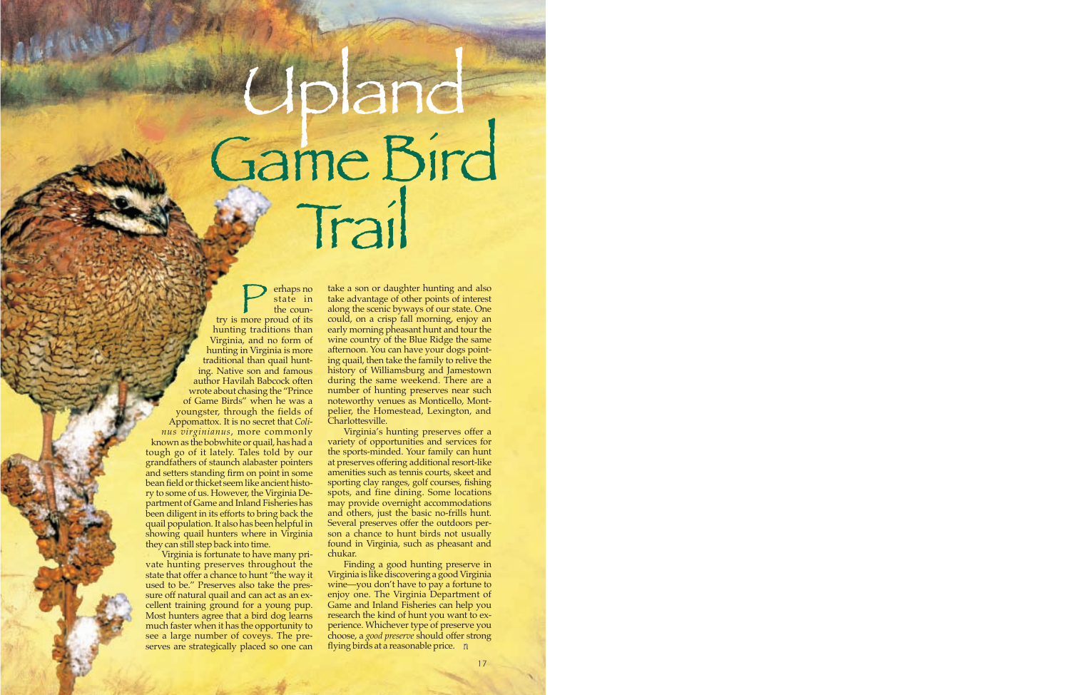# pland Game Bird Trail

**Perhaps no**<br>try is more proud of its<br>the country is more proud of its state in the counhunting traditions than Virginia, and no form of hunting in Virginia is more traditional than quail hunting. Native son and famous author Havilah Babcock often wrote about chasing the "Prince of Game Birds" when he was a youngster, through the fields of Appomattox. It is no secret that *Colinus virginianus*, more commonly known as the bobwhite or quail, has had a tough go of it lately. Tales told by our grandfathers of staunch alabaster pointers and setters standing firm on point in some bean field or thicket seem like ancient history to some of us. However, the Virginia Department of Game and Inland Fisheries has been diligent in its efforts to bring back the quail population. It also has been helpful in showing quail hunters where in Virginia they can still step back into time.

Virginia is fortunate to have many private hunting preserves throughout the state that offer a chance to hunt "the way it used to be." Preserves also take the pressure off natural quail and can act as an excellent training ground for a young pup. Most hunters agree that a bird dog learns much faster when it has the opportunity to see a large number of coveys. The preserves are strategically placed so one can

take a son or daughter hunting and also take advantage of other points of interest along the scenic byways of our state. One could, on a crisp fall morning, enjoy an early morning pheasant hunt and tour the wine country of the Blue Ridge the same afternoon. You can have your dogs pointing quail, then take the family to relive the history of Williamsburg and Jamestown during the same weekend. There are a number of hunting preserves near such noteworthy venues as Monticello, Montpelier, the Homestead, Lexington, and Charlottesville.

Virginia's hunting preserves offer a variety of opportunities and services for the sports-minded. Your family can hunt at preserves offering additional resort-like amenities such as tennis courts, skeet and sporting clay ranges, golf courses, fishing spots, and fine dining. Some locations may provide overnight accommodations and others, just the basic no-frills hunt. Several preserves offer the outdoors person a chance to hunt birds not usually found in Virginia, such as pheasant and chukar.

Finding a good hunting preserve in Virginia is like discovering a good Virginia wine—you don't have to pay a fortune to enjoy one. The Virginia Department of Game and Inland Fisheries can help you research the kind of hunt you want to experience. Whichever type of preserve you choose, a *good preserve* should offer strong flying birds at a reasonable price. n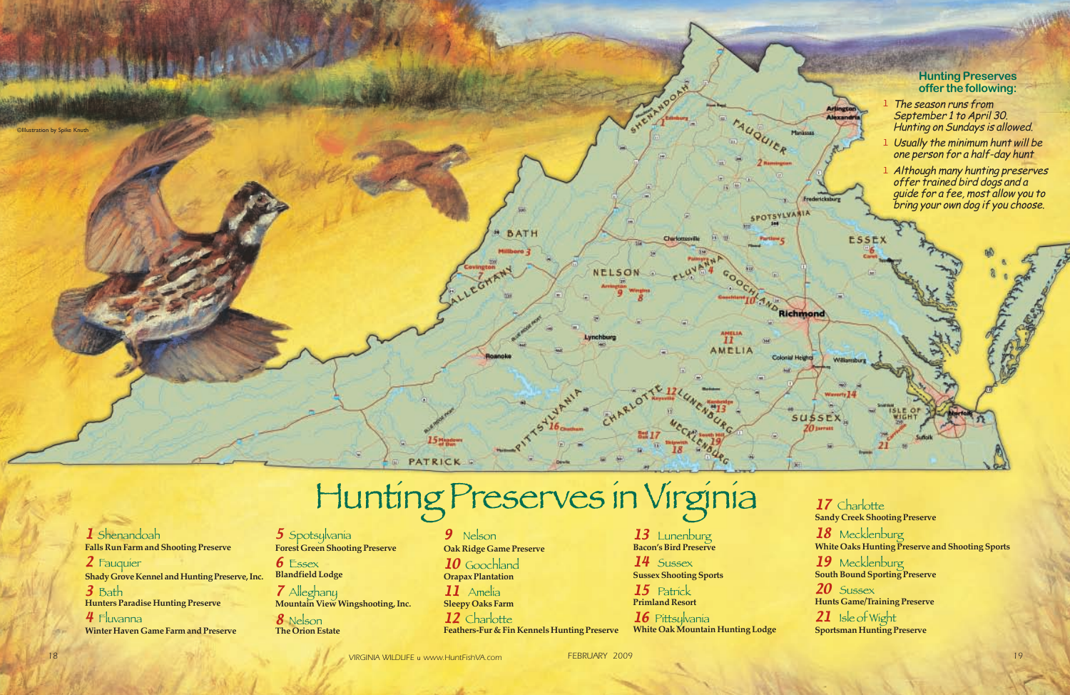*18 VIRGINIA WILDLIFE* <sup>u</sup> *www.HuntFishVA.com FEBRUARY 2009 19*

# Hunting Preserves in Virginia

# **Hunting Preserves offer the following:**

- 1 The season runs from September 1 to April 30. Hunting on Sundays is allowed.
- 1 Usually the minimum hunt will be one person for a half-day hunt
- 1 Although many hunting preserves offer trained bird dogs and a guide for a fee, most allow you to bring your own dog if you choose.

1 Shenandoah **Falls Run Farm and Shooting Preserve**

2 Fauquier **Shady Grove Kennel and Hunting Preserve, Inc.** 3 Bath **Hunters Paradise Hunting Preserve** 4 Fluvanna

17 Charlotte **Sandy Creek Shooting Preserve** 18 Mecklenburg **White Oaks Hunting Preserve and Shooting Sports** 19 Mecklenburg **South Bound Sporting Preserve**  $20$  Sussex **Hunts Game/Training Preserve** 21 Isle of Wight **Sportsman Hunting Preserve**

5 Spotsylvania **Forest Green Shooting Preserve**

**6** Essex **Blandfield Lodge**

**Orapax Plantation**   $II$  Amelia

12 Charlotte **Feathers-Fur & Fin Kennels Hunting Preserve**

**Winter Haven Game Farm and Preserve**

14 Sussex **Sussex Shooting Sports** 

15 Patrick **Primland Resort**

7 Alleghany **Mountain View Wingshooting, Inc.**

8 Nelson **The Orion Estate** 9 Nelson **Oak Ridge Game Preserve**

10 Goochland

**Sleepy Oaks Farm**

<sup>13</sup>Lunenburg **Bacon's Bird Preserve**

<sup>16</sup>Pittsylvania **White Oak Mountain Hunting Lodge**